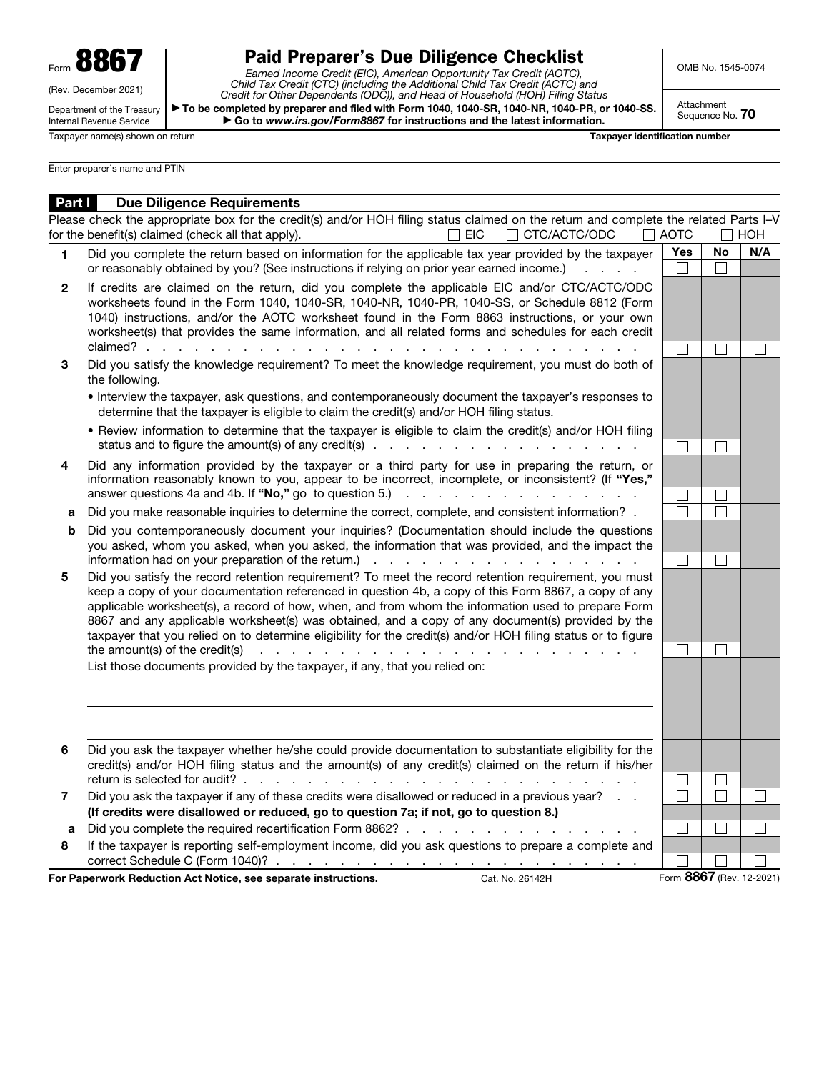Form 8867

(Rev. December 2021)

Department of the Treasury Internal Revenue Service

## Paid Preparer's Due Diligence Checklist

*Earned Income Credit (EIC), American Opportunity Tax Credit (AOTC), Child Tax Credit (CTC) (including the Additional Child Tax Credit (ACTC) and Credit for Other Dependents (ODC)), and Head of Household (HOH) Filing Status* ▶ To be completed by preparer and filed with Form 1040, 1040-SR, 1040-NR, 1040-PR, or 1040-SS. ▶ Go to *www.irs.gov/Form8867* for instructions and the latest information.

OMB No. 1545-0074

Attachment Sequence No. 70

Taxpayer name(s) shown on return Taxpayer identification number

Enter preparer's name and PTIN

| <b>Part I</b> | <b>Due Diligence Requirements</b>                                                                                                                                                                                                                                                                                                                                                                                                                                                                                                                                                                                                                                                                                                 |                          |              |     |
|---------------|-----------------------------------------------------------------------------------------------------------------------------------------------------------------------------------------------------------------------------------------------------------------------------------------------------------------------------------------------------------------------------------------------------------------------------------------------------------------------------------------------------------------------------------------------------------------------------------------------------------------------------------------------------------------------------------------------------------------------------------|--------------------------|--------------|-----|
|               | Please check the appropriate box for the credit(s) and/or HOH filing status claimed on the return and complete the related Parts I-V<br>for the benefit(s) claimed (check all that apply).<br>$\Box$ eic<br>CTC/ACTC/ODC<br>$\Box$                                                                                                                                                                                                                                                                                                                                                                                                                                                                                                | $\Box$ aotc              |              | HOH |
| 1             | Did you complete the return based on information for the applicable tax year provided by the taxpayer<br>or reasonably obtained by you? (See instructions if relying on prior year earned income.)                                                                                                                                                                                                                                                                                                                                                                                                                                                                                                                                | <b>Yes</b>               | <b>No</b>    | N/A |
| $\mathbf{2}$  | If credits are claimed on the return, did you complete the applicable EIC and/or CTC/ACTC/ODC<br>worksheets found in the Form 1040, 1040-SR, 1040-NR, 1040-PR, 1040-SS, or Schedule 8812 (Form<br>1040) instructions, and/or the AOTC worksheet found in the Form 8863 instructions, or your own<br>worksheet(s) that provides the same information, and all related forms and schedules for each credit<br>claimed?                                                                                                                                                                                                                                                                                                              |                          |              |     |
| 3             | Did you satisfy the knowledge requirement? To meet the knowledge requirement, you must do both of<br>the following.                                                                                                                                                                                                                                                                                                                                                                                                                                                                                                                                                                                                               |                          |              |     |
|               | • Interview the taxpayer, ask questions, and contemporaneously document the taxpayer's responses to<br>determine that the taxpayer is eligible to claim the credit(s) and/or HOH filing status.                                                                                                                                                                                                                                                                                                                                                                                                                                                                                                                                   |                          |              |     |
|               | • Review information to determine that the taxpayer is eligible to claim the credit(s) and/or HOH filing                                                                                                                                                                                                                                                                                                                                                                                                                                                                                                                                                                                                                          |                          |              |     |
| 4             | Did any information provided by the taxpayer or a third party for use in preparing the return, or<br>information reasonably known to you, appear to be incorrect, incomplete, or inconsistent? (If "Yes,"<br>answer questions 4a and 4b. If "No," go to question 5.)<br>and the contract of the contract of the contract of                                                                                                                                                                                                                                                                                                                                                                                                       |                          |              |     |
| a             | Did you make reasonable inquiries to determine the correct, complete, and consistent information? .                                                                                                                                                                                                                                                                                                                                                                                                                                                                                                                                                                                                                               |                          |              |     |
| b             | Did you contemporaneously document your inquiries? (Documentation should include the questions<br>you asked, whom you asked, when you asked, the information that was provided, and the impact the<br>information had on your preparation of the return.) The state of the state of the state of the state of the return.                                                                                                                                                                                                                                                                                                                                                                                                         |                          |              |     |
| 5             | Did you satisfy the record retention requirement? To meet the record retention requirement, you must<br>keep a copy of your documentation referenced in question 4b, a copy of this Form 8867, a copy of any<br>applicable worksheet(s), a record of how, when, and from whom the information used to prepare Form<br>8867 and any applicable worksheet(s) was obtained, and a copy of any document(s) provided by the<br>taxpayer that you relied on to determine eligibility for the credit(s) and/or HOH filing status or to figure<br>the amount(s) of the credit(s)<br>.<br>and a strain and a strain and<br>and the state of the state of the<br>List those documents provided by the taxpayer, if any, that you relied on: | $\sim$                   | $\mathbf{L}$ |     |
|               |                                                                                                                                                                                                                                                                                                                                                                                                                                                                                                                                                                                                                                                                                                                                   |                          |              |     |
| 6             | Did you ask the taxpayer whether he/she could provide documentation to substantiate eligibility for the<br>credit(s) and/or HOH filing status and the amount(s) of any credit(s) claimed on the return if his/her<br>return is selected for audit?.<br>and a state                                                                                                                                                                                                                                                                                                                                                                                                                                                                |                          |              |     |
| 7             | Did you ask the taxpayer if any of these credits were disallowed or reduced in a previous year?                                                                                                                                                                                                                                                                                                                                                                                                                                                                                                                                                                                                                                   |                          |              |     |
|               | (If credits were disallowed or reduced, go to question 7a; if not, go to question 8.)                                                                                                                                                                                                                                                                                                                                                                                                                                                                                                                                                                                                                                             |                          |              |     |
| a             | Did you complete the required recertification Form 8862?                                                                                                                                                                                                                                                                                                                                                                                                                                                                                                                                                                                                                                                                          |                          |              |     |
| 8             | If the taxpayer is reporting self-employment income, did you ask questions to prepare a complete and                                                                                                                                                                                                                                                                                                                                                                                                                                                                                                                                                                                                                              |                          |              |     |
|               | For Paperwork Reduction Act Notice, see separate instructions.<br>Cat. No. 26142H                                                                                                                                                                                                                                                                                                                                                                                                                                                                                                                                                                                                                                                 | Form 8867 (Rev. 12-2021) |              |     |